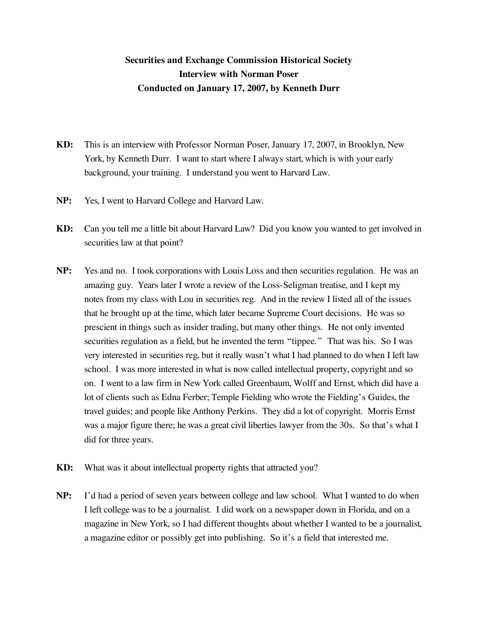## **Securities and Exchange Commission Historical Society Interview with Norman Poser Conducted on January 17, 2007, by Kenneth Durr**

- **KD:** This is an interview with Professor Norman Poser, January 17, 2007, in Brooklyn, New York, by Kenneth Durr. I want to start where I always start, which is with your early background, your training. I understand you went to Harvard Law.
- **NP:** Yes, I went to Harvard College and Harvard Law.
- **KD:** Can you tell me a little bit about Harvard Law? Did you know you wanted to get involved in securities law at that point?
- **NP:** Yes and no. I took corporations with Louis Loss and then securities regulation. He was an amazing guy. Years later I wrote a review of the Loss-Seligman treatise, and I kept my notes from my class with Lou in securities reg. And in the review I listed all of the issues that he brought up at the time, which later became Supreme Court decisions. He was so prescient in things such as insider trading, but many other things. He not only invented securities regulation as a field, but he invented the term "tippee." That was his. So I was very interested in securities reg, but it really wasn't what I had planned to do when I left law school. I was more interested in what is now called intellectual property, copyright and so on. I went to a law firm in New York called Greenbaum, Wolff and Ernst, which did have a lot of clients such as Edna Ferber; Temple Fielding who wrote the Fielding's Guides, the travel guides; and people like Anthony Perkins. They did a lot of copyright. Morris Ernst was a major figure there; he was a great civil liberties lawyer from the 30s. So that's what I did for three years.
- **KD:** What was it about intellectual property rights that attracted you?
- **NP:** I'd had a period of seven years between college and law school. What I wanted to do when I left college was to be a journalist. I did work on a newspaper down in Florida, and on a magazine in New York, so I had different thoughts about whether I wanted to be a journalist, a magazine editor or possibly get into publishing. So it's a field that interested me.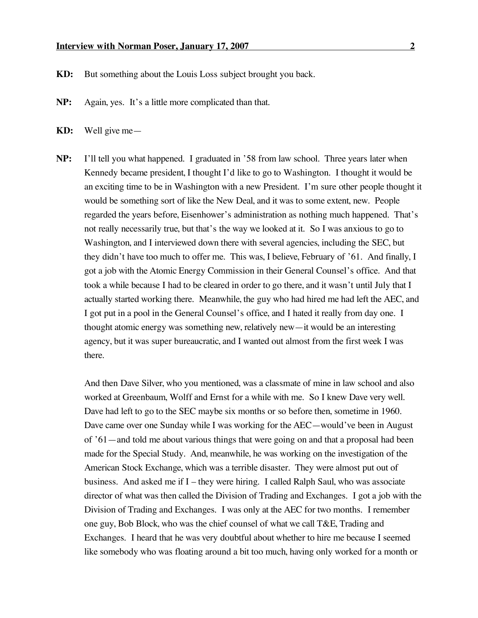- **KD:** But something about the Louis Loss subject brought you back.
- **NP:** Again, yes. It's a little more complicated than that.
- **KD:** Well give me—
- **NP:** I'll tell you what happened. I graduated in '58 from law school. Three years later when Kennedy became president, I thought I'd like to go to Washington. I thought it would be an exciting time to be in Washington with a new President. I'm sure other people thought it would be something sort of like the New Deal, and it was to some extent, new. People regarded the years before, Eisenhower's administration as nothing much happened. That's not really necessarily true, but that's the way we looked at it. So I was anxious to go to Washington, and I interviewed down there with several agencies, including the SEC, but they didn't have too much to offer me. This was, I believe, February of '61. And finally, I got a job with the Atomic Energy Commission in their General Counsel's office. And that took a while because I had to be cleared in order to go there, and it wasn't until July that I actually started working there. Meanwhile, the guy who had hired me had left the AEC, and I got put in a pool in the General Counsel's office, and I hated it really from day one. I thought atomic energy was something new, relatively new—it would be an interesting agency, but it was super bureaucratic, and I wanted out almost from the first week I was there.

And then Dave Silver, who you mentioned, was a classmate of mine in law school and also worked at Greenbaum, Wolff and Ernst for a while with me. So I knew Dave very well. Dave had left to go to the SEC maybe six months or so before then, sometime in 1960. Dave came over one Sunday while I was working for the AEC—would've been in August of '61—and told me about various things that were going on and that a proposal had been made for the Special Study. And, meanwhile, he was working on the investigation of the American Stock Exchange, which was a terrible disaster. They were almost put out of business. And asked me if I – they were hiring. I called Ralph Saul, who was associate director of what was then called the Division of Trading and Exchanges. I got a job with the Division of Trading and Exchanges. I was only at the AEC for two months. I remember one guy, Bob Block, who was the chief counsel of what we call T&E, Trading and Exchanges. I heard that he was very doubtful about whether to hire me because I seemed like somebody who was floating around a bit too much, having only worked for a month or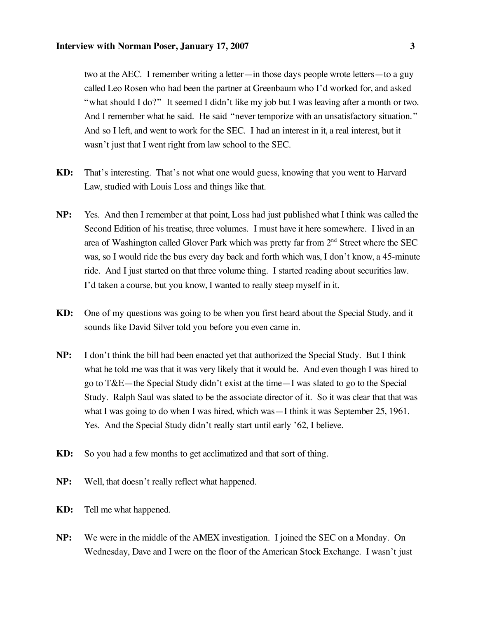two at the AEC. I remember writing a letter—in those days people wrote letters—to a guy called Leo Rosen who had been the partner at Greenbaum who I'd worked for, and asked "what should I do?" It seemed I didn't like my job but I was leaving after a month or two. And I remember what he said. He said "never temporize with an unsatisfactory situation." And so I left, and went to work for the SEC. I had an interest in it, a real interest, but it wasn't just that I went right from law school to the SEC.

- **KD:** That's interesting. That's not what one would guess, knowing that you went to Harvard Law, studied with Louis Loss and things like that.
- **NP:** Yes. And then I remember at that point, Loss had just published what I think was called the Second Edition of his treatise, three volumes. I must have it here somewhere. I lived in an area of Washington called Glover Park which was pretty far from  $2<sup>nd</sup>$  Street where the SEC was, so I would ride the bus every day back and forth which was, I don't know, a 45-minute ride. And I just started on that three volume thing. I started reading about securities law. I'd taken a course, but you know, I wanted to really steep myself in it.
- **KD:** One of my questions was going to be when you first heard about the Special Study, and it sounds like David Silver told you before you even came in.
- **NP:** I don't think the bill had been enacted yet that authorized the Special Study. But I think what he told me was that it was very likely that it would be. And even though I was hired to go to T&E—the Special Study didn't exist at the time—I was slated to go to the Special Study. Ralph Saul was slated to be the associate director of it. So it was clear that that was what I was going to do when I was hired, which was—I think it was September 25, 1961. Yes. And the Special Study didn't really start until early '62, I believe.
- **KD:** So you had a few months to get acclimatized and that sort of thing.
- **NP:** Well, that doesn't really reflect what happened.
- **KD:** Tell me what happened.
- **NP:** We were in the middle of the AMEX investigation. I joined the SEC on a Monday. On Wednesday, Dave and I were on the floor of the American Stock Exchange. I wasn't just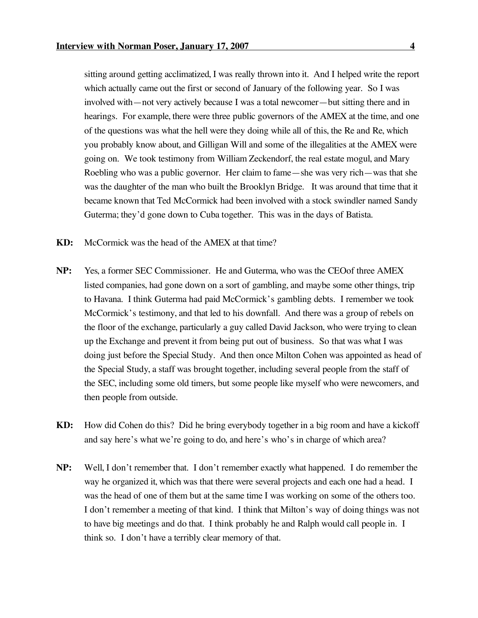sitting around getting acclimatized, I was really thrown into it. And I helped write the report which actually came out the first or second of January of the following year. So I was involved with—not very actively because I was a total newcomer—but sitting there and in hearings. For example, there were three public governors of the AMEX at the time, and one of the questions was what the hell were they doing while all of this, the Re and Re, which you probably know about, and Gilligan Will and some of the illegalities at the AMEX were going on. We took testimony from William Zeckendorf, the real estate mogul, and Mary Roebling who was a public governor. Her claim to fame—she was very rich—was that she was the daughter of the man who built the Brooklyn Bridge. It was around that time that it became known that Ted McCormick had been involved with a stock swindler named Sandy Guterma; they'd gone down to Cuba together. This was in the days of Batista.

- **KD:** McCormick was the head of the AMEX at that time?
- **NP:** Yes, a former SEC Commissioner. He and Guterma, who was the CEOof three AMEX listed companies, had gone down on a sort of gambling, and maybe some other things, trip to Havana. I think Guterma had paid McCormick's gambling debts. I remember we took McCormick's testimony, and that led to his downfall. And there was a group of rebels on the floor of the exchange, particularly a guy called David Jackson, who were trying to clean up the Exchange and prevent it from being put out of business. So that was what I was doing just before the Special Study. And then once Milton Cohen was appointed as head of the Special Study, a staff was brought together, including several people from the staff of the SEC, including some old timers, but some people like myself who were newcomers, and then people from outside.
- **KD:** How did Cohen do this? Did he bring everybody together in a big room and have a kickoff and say here's what we're going to do, and here's who's in charge of which area?
- **NP:** Well, I don't remember that. I don't remember exactly what happened. I do remember the way he organized it, which was that there were several projects and each one had a head. I was the head of one of them but at the same time I was working on some of the others too. I don't remember a meeting of that kind. I think that Milton's way of doing things was not to have big meetings and do that. I think probably he and Ralph would call people in. I think so. I don't have a terribly clear memory of that.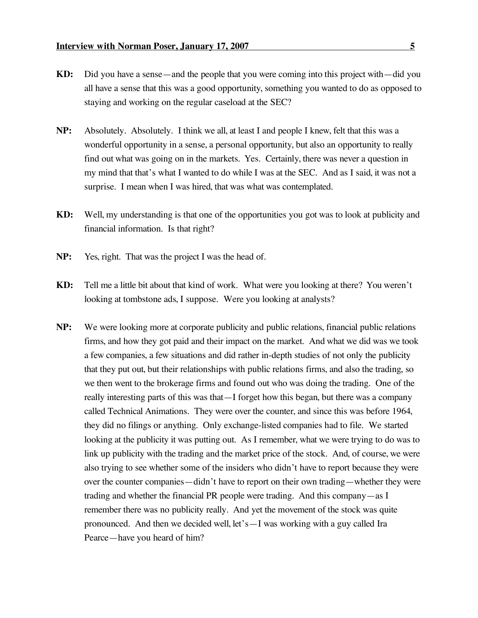- **KD:** Did you have a sense—and the people that you were coming into this project with—did you all have a sense that this was a good opportunity, something you wanted to do as opposed to staying and working on the regular caseload at the SEC?
- **NP:** Absolutely. Absolutely. I think we all, at least I and people I knew, felt that this was a wonderful opportunity in a sense, a personal opportunity, but also an opportunity to really find out what was going on in the markets. Yes. Certainly, there was never a question in my mind that that's what I wanted to do while I was at the SEC. And as I said, it was not a surprise. I mean when I was hired, that was what was contemplated.
- **KD:** Well, my understanding is that one of the opportunities you got was to look at publicity and financial information. Is that right?
- **NP:** Yes, right. That was the project I was the head of.
- **KD:** Tell me a little bit about that kind of work. What were you looking at there? You weren't looking at tombstone ads, I suppose. Were you looking at analysts?
- **NP:** We were looking more at corporate publicity and public relations, financial public relations firms, and how they got paid and their impact on the market. And what we did was we took a few companies, a few situations and did rather in-depth studies of not only the publicity that they put out, but their relationships with public relations firms, and also the trading, so we then went to the brokerage firms and found out who was doing the trading. One of the really interesting parts of this was that—I forget how this began, but there was a company called Technical Animations. They were over the counter, and since this was before 1964, they did no filings or anything. Only exchange-listed companies had to file. We started looking at the publicity it was putting out. As I remember, what we were trying to do was to link up publicity with the trading and the market price of the stock. And, of course, we were also trying to see whether some of the insiders who didn't have to report because they were over the counter companies—didn't have to report on their own trading—whether they were trading and whether the financial PR people were trading. And this company—as I remember there was no publicity really. And yet the movement of the stock was quite pronounced. And then we decided well, let's—I was working with a guy called Ira Pearce—have you heard of him?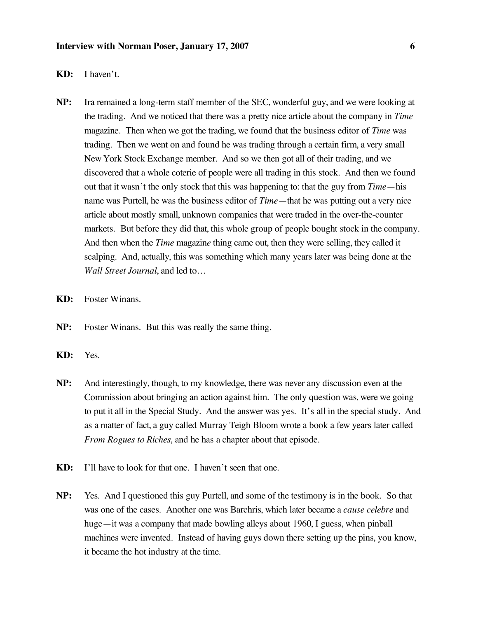- **KD:** I haven't.
- **NP:** Ira remained a long-term staff member of the SEC, wonderful guy, and we were looking at the trading. And we noticed that there was a pretty nice article about the company in *Time* magazine. Then when we got the trading, we found that the business editor of *Time* was trading. Then we went on and found he was trading through a certain firm, a very small New York Stock Exchange member. And so we then got all of their trading, and we discovered that a whole coterie of people were all trading in this stock. And then we found out that it wasn't the only stock that this was happening to: that the guy from *Time*—his name was Purtell, he was the business editor of *Time*—that he was putting out a very nice article about mostly small, unknown companies that were traded in the over-the-counter markets. But before they did that, this whole group of people bought stock in the company. And then when the *Time* magazin*e* thing came out, then they were selling, they called it scalping. And, actually, this was something which many years later was being done at the *Wall Street Journal*, and led to…
- **KD:** Foster Winans.
- **NP:** Foster Winans. But this was really the same thing.
- **KD:** Yes.
- **NP:** And interestingly, though, to my knowledge, there was never any discussion even at the Commission about bringing an action against him. The only question was, were we going to put it all in the Special Study. And the answer was yes. It's all in the special study. And as a matter of fact, a guy called Murray Teigh Bloom wrote a book a few years later called *From Rogues to Riches*, and he has a chapter about that episode.
- **KD:** I'll have to look for that one. I haven't seen that one.
- **NP:** Yes. And I questioned this guy Purtell, and some of the testimony is in the book. So that was one of the cases. Another one was Barchris, which later became a *cause celebre* and huge—it was a company that made bowling alleys about 1960, I guess, when pinball machines were invented. Instead of having guys down there setting up the pins, you know, it became the hot industry at the time.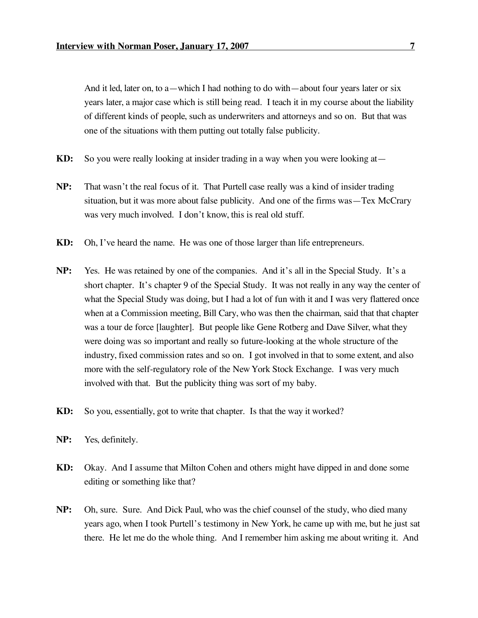And it led, later on, to a—which I had nothing to do with—about four years later or six years later, a major case which is still being read. I teach it in my course about the liability of different kinds of people, such as underwriters and attorneys and so on. But that was one of the situations with them putting out totally false publicity.

- **KD:** So you were really looking at insider trading in a way when you were looking at—
- **NP:** That wasn't the real focus of it. That Purtell case really was a kind of insider trading situation, but it was more about false publicity. And one of the firms was—Tex McCrary was very much involved. I don't know, this is real old stuff.
- **KD:** Oh, I've heard the name. He was one of those larger than life entrepreneurs.
- **NP:** Yes. He was retained by one of the companies. And it's all in the Special Study. It's a short chapter. It's chapter 9 of the Special Study. It was not really in any way the center of what the Special Study was doing, but I had a lot of fun with it and I was very flattered once when at a Commission meeting, Bill Cary, who was then the chairman, said that that chapter was a tour de force [laughter]. But people like Gene Rotberg and Dave Silver, what they were doing was so important and really so future-looking at the whole structure of the industry, fixed commission rates and so on. I got involved in that to some extent, and also more with the self-regulatory role of the New York Stock Exchange. I was very much involved with that. But the publicity thing was sort of my baby.
- **KD:** So you, essentially, got to write that chapter. Is that the way it worked?
- **NP:** Yes, definitely.
- **KD:** Okay. And I assume that Milton Cohen and others might have dipped in and done some editing or something like that?
- **NP:** Oh, sure. Sure. And Dick Paul, who was the chief counsel of the study, who died many years ago, when I took Purtell's testimony in New York, he came up with me, but he just sat there. He let me do the whole thing. And I remember him asking me about writing it. And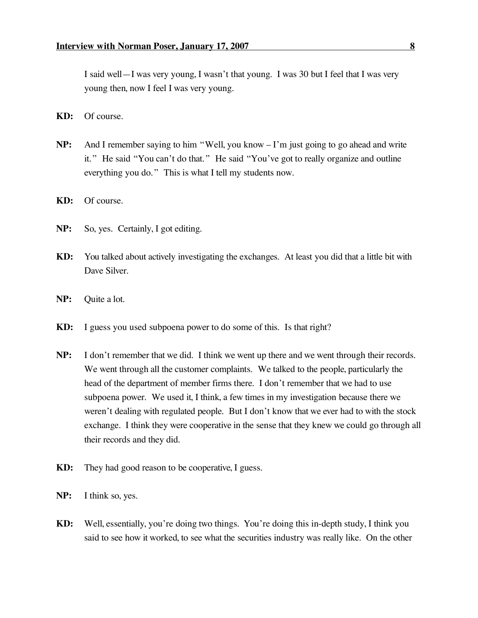I said well—I was very young, I wasn't that young. I was 30 but I feel that I was very young then, now I feel I was very young.

- **KD:** Of course.
- **NP:** And I remember saying to him "Well, you know I'm just going to go ahead and write it." He said "You can't do that." He said "You've got to really organize and outline everything you do." This is what I tell my students now.
- **KD:** Of course.
- **NP:** So, yes. Certainly, I got editing.
- **KD:** You talked about actively investigating the exchanges. At least you did that a little bit with Dave Silver.
- **NP:** Quite a lot.
- **KD:** I guess you used subpoena power to do some of this. Is that right?
- **NP:** I don't remember that we did. I think we went up there and we went through their records. We went through all the customer complaints. We talked to the people, particularly the head of the department of member firms there. I don't remember that we had to use subpoena power. We used it, I think, a few times in my investigation because there we weren't dealing with regulated people. But I don't know that we ever had to with the stock exchange. I think they were cooperative in the sense that they knew we could go through all their records and they did.
- **KD:** They had good reason to be cooperative, I guess.
- **NP:** I think so, yes.
- **KD:** Well, essentially, you're doing two things. You're doing this in-depth study, I think you said to see how it worked, to see what the securities industry was really like. On the other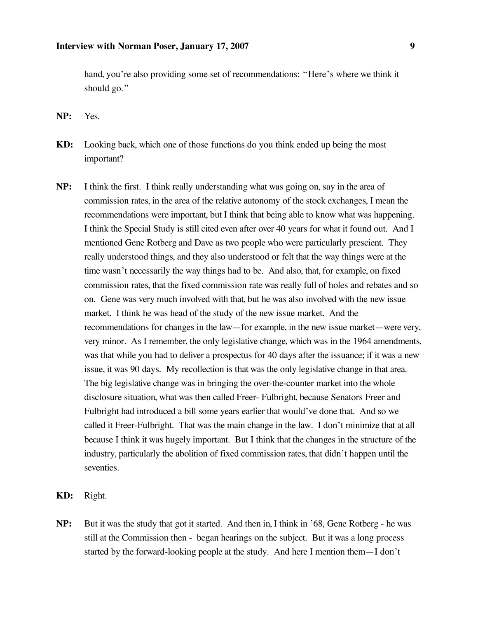hand, you're also providing some set of recommendations: "Here's where we think it should go."

**NP:** Yes.

- **KD:** Looking back, which one of those functions do you think ended up being the most important?
- **NP:** I think the first. I think really understanding what was going on, say in the area of commission rates, in the area of the relative autonomy of the stock exchanges, I mean the recommendations were important, but I think that being able to know what was happening. I think the Special Study is still cited even after over 40 years for what it found out. And I mentioned Gene Rotberg and Dave as two people who were particularly prescient. They really understood things, and they also understood or felt that the way things were at the time wasn't necessarily the way things had to be. And also, that, for example, on fixed commission rates, that the fixed commission rate was really full of holes and rebates and so on. Gene was very much involved with that, but he was also involved with the new issue market. I think he was head of the study of the new issue market. And the recommendations for changes in the law—for example, in the new issue market—were very, very minor. As I remember, the only legislative change, which was in the 1964 amendments, was that while you had to deliver a prospectus for 40 days after the issuance; if it was a new issue, it was 90 days. My recollection is that was the only legislative change in that area. The big legislative change was in bringing the over-the-counter market into the whole disclosure situation, what was then called Freer- Fulbright, because Senators Freer and Fulbright had introduced a bill some years earlier that would've done that. And so we called it Freer-Fulbright. That was the main change in the law. I don't minimize that at all because I think it was hugely important. But I think that the changes in the structure of the industry, particularly the abolition of fixed commission rates, that didn't happen until the seventies.
- **KD:** Right.
- **NP:** But it was the study that got it started. And then in, I think in '68, Gene Rotberg he was still at the Commission then - began hearings on the subject. But it was a long process started by the forward-looking people at the study. And here I mention them—I don't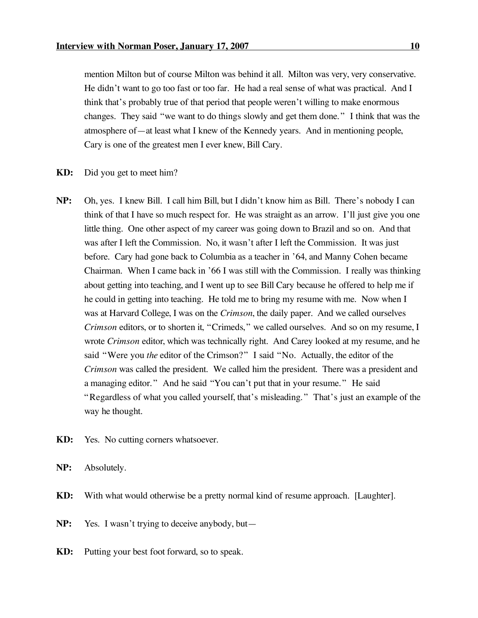mention Milton but of course Milton was behind it all. Milton was very, very conservative. He didn't want to go too fast or too far. He had a real sense of what was practical. And I think that's probably true of that period that people weren't willing to make enormous changes. They said "we want to do things slowly and get them done." I think that was the atmosphere of—at least what I knew of the Kennedy years. And in mentioning people, Cary is one of the greatest men I ever knew, Bill Cary.

- **KD:** Did you get to meet him?
- **NP:** Oh, yes. I knew Bill. I call him Bill, but I didn't know him as Bill. There's nobody I can think of that I have so much respect for. He was straight as an arrow. I'll just give you one little thing. One other aspect of my career was going down to Brazil and so on. And that was after I left the Commission. No, it wasn't after I left the Commission. It was just before. Cary had gone back to Columbia as a teacher in '64, and Manny Cohen became Chairman. When I came back in '66 I was still with the Commission. I really was thinking about getting into teaching, and I went up to see Bill Cary because he offered to help me if he could in getting into teaching. He told me to bring my resume with me. Now when I was at Harvard College, I was on the *Crimson*, the daily paper. And we called ourselves *Crimson* editors, or to shorten it, "Crimeds," we called ourselves. And so on my resume, I wrote *Crimson* editor, which was technically right. And Carey looked at my resume, and he said "Were you *the* editor of the Crimson?" I said "No. Actually, the editor of the *Crimson* was called the president. We called him the president. There was a president and a managing editor." And he said "You can't put that in your resume." He said "Regardless of what you called yourself, that's misleading." That's just an example of the way he thought.
- **KD:** Yes. No cutting corners whatsoever.
- **NP:** Absolutely.
- **KD:** With what would otherwise be a pretty normal kind of resume approach. [Laughter].
- **NP:** Yes. I wasn't trying to deceive anybody, but—
- **KD:** Putting your best foot forward, so to speak.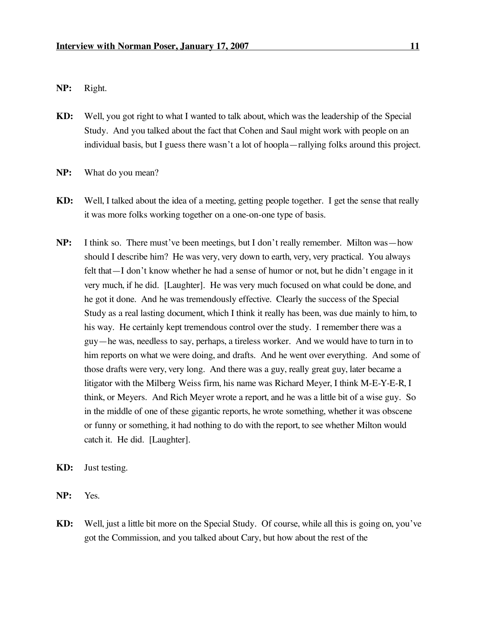**NP:** Right.

- **KD:** Well, you got right to what I wanted to talk about, which was the leadership of the Special Study. And you talked about the fact that Cohen and Saul might work with people on an individual basis, but I guess there wasn't a lot of hoopla—rallying folks around this project.
- **NP:** What do you mean?
- **KD:** Well, I talked about the idea of a meeting, getting people together. I get the sense that really it was more folks working together on a one-on-one type of basis.
- **NP:** I think so. There must've been meetings, but I don't really remember. Milton was—how should I describe him? He was very, very down to earth, very, very practical. You always felt that—I don't know whether he had a sense of humor or not, but he didn't engage in it very much, if he did. [Laughter]. He was very much focused on what could be done, and he got it done. And he was tremendously effective. Clearly the success of the Special Study as a real lasting document, which I think it really has been, was due mainly to him, to his way. He certainly kept tremendous control over the study. I remember there was a guy—he was, needless to say, perhaps, a tireless worker. And we would have to turn in to him reports on what we were doing, and drafts. And he went over everything. And some of those drafts were very, very long. And there was a guy, really great guy, later became a litigator with the Milberg Weiss firm, his name was Richard Meyer, I think M-E-Y-E-R, I think, or Meyers. And Rich Meyer wrote a report, and he was a little bit of a wise guy. So in the middle of one of these gigantic reports, he wrote something, whether it was obscene or funny or something, it had nothing to do with the report, to see whether Milton would catch it. He did. [Laughter].
- **KD:** Just testing.
- **NP:** Yes.
- **KD:** Well, just a little bit more on the Special Study. Of course, while all this is going on, you've got the Commission, and you talked about Cary, but how about the rest of the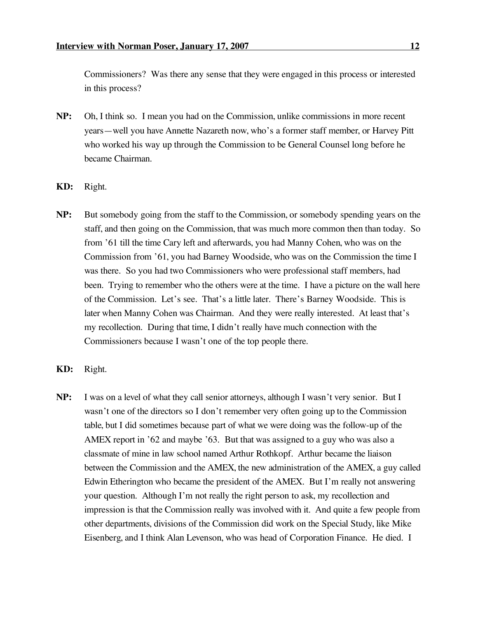Commissioners? Was there any sense that they were engaged in this process or interested in this process?

- **NP:** Oh, I think so. I mean you had on the Commission, unlike commissions in more recent years—well you have Annette Nazareth now, who's a former staff member, or Harvey Pitt who worked his way up through the Commission to be General Counsel long before he became Chairman.
- **KD:** Right.
- **NP:** But somebody going from the staff to the Commission, or somebody spending years on the staff, and then going on the Commission, that was much more common then than today. So from '61 till the time Cary left and afterwards, you had Manny Cohen, who was on the Commission from '61, you had Barney Woodside, who was on the Commission the time I was there. So you had two Commissioners who were professional staff members, had been. Trying to remember who the others were at the time. I have a picture on the wall here of the Commission. Let's see. That's a little later. There's Barney Woodside. This is later when Manny Cohen was Chairman. And they were really interested. At least that's my recollection. During that time, I didn't really have much connection with the Commissioners because I wasn't one of the top people there.
- **KD:** Right.
- **NP:** I was on a level of what they call senior attorneys, although I wasn't very senior. But I wasn't one of the directors so I don't remember very often going up to the Commission table, but I did sometimes because part of what we were doing was the follow-up of the AMEX report in '62 and maybe '63. But that was assigned to a guy who was also a classmate of mine in law school named Arthur Rothkopf. Arthur became the liaison between the Commission and the AMEX, the new administration of the AMEX, a guy called Edwin Etherington who became the president of the AMEX. But I'm really not answering your question. Although I'm not really the right person to ask, my recollection and impression is that the Commission really was involved with it. And quite a few people from other departments, divisions of the Commission did work on the Special Study, like Mike Eisenberg, and I think Alan Levenson, who was head of Corporation Finance. He died. I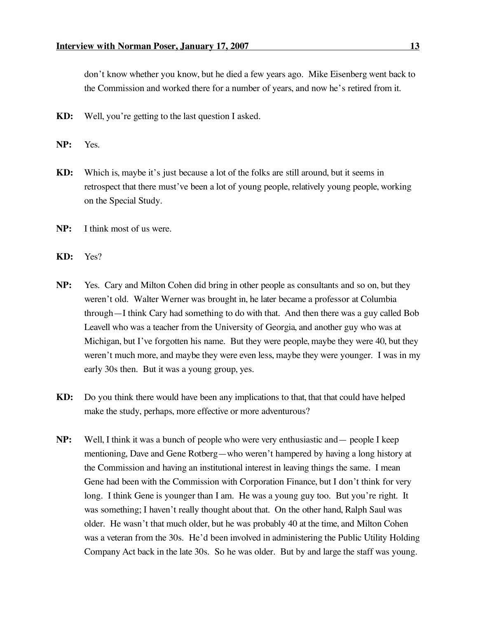don't know whether you know, but he died a few years ago. Mike Eisenberg went back to the Commission and worked there for a number of years, and now he's retired from it.

- **KD:** Well, you're getting to the last question I asked.
- **NP:** Yes.
- **KD:** Which is, maybe it's just because a lot of the folks are still around, but it seems in retrospect that there must've been a lot of young people, relatively young people, working on the Special Study.
- **NP:** I think most of us were.
- **KD:** Yes?
- **NP:** Yes. Cary and Milton Cohen did bring in other people as consultants and so on, but they weren't old. Walter Werner was brought in, he later became a professor at Columbia through—I think Cary had something to do with that. And then there was a guy called Bob Leavell who was a teacher from the University of Georgia, and another guy who was at Michigan, but I've forgotten his name. But they were people, maybe they were 40, but they weren't much more, and maybe they were even less, maybe they were younger. I was in my early 30s then. But it was a young group, yes.
- **KD:** Do you think there would have been any implications to that, that that could have helped make the study, perhaps, more effective or more adventurous?
- **NP:** Well, I think it was a bunch of people who were very enthusiastic and— people I keep mentioning, Dave and Gene Rotberg—who weren't hampered by having a long history at the Commission and having an institutional interest in leaving things the same. I mean Gene had been with the Commission with Corporation Finance, but I don't think for very long. I think Gene is younger than I am. He was a young guy too. But you're right. It was something; I haven't really thought about that. On the other hand, Ralph Saul was older. He wasn't that much older, but he was probably 40 at the time, and Milton Cohen was a veteran from the 30s. He'd been involved in administering the Public Utility Holding Company Act back in the late 30s. So he was older. But by and large the staff was young.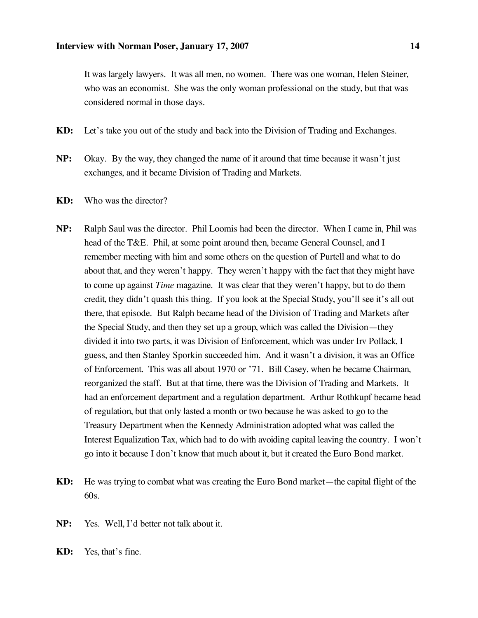It was largely lawyers. It was all men, no women. There was one woman, Helen Steiner, who was an economist. She was the only woman professional on the study, but that was considered normal in those days.

- **KD:** Let's take you out of the study and back into the Division of Trading and Exchanges.
- **NP:** Okay. By the way, they changed the name of it around that time because it wasn't just exchanges, and it became Division of Trading and Markets.
- **KD:** Who was the director?
- **NP:** Ralph Saul was the director. Phil Loomis had been the director. When I came in, Phil was head of the T&E. Phil, at some point around then, became General Counsel, and I remember meeting with him and some others on the question of Purtell and what to do about that, and they weren't happy. They weren't happy with the fact that they might have to come up against *Time* magazine. It was clear that they weren't happy, but to do them credit, they didn't quash this thing. If you look at the Special Study, you'll see it's all out there, that episode. But Ralph became head of the Division of Trading and Markets after the Special Study, and then they set up a group, which was called the Division—they divided it into two parts, it was Division of Enforcement, which was under Irv Pollack, I guess, and then Stanley Sporkin succeeded him. And it wasn't a division, it was an Office of Enforcement. This was all about 1970 or '71. Bill Casey, when he became Chairman, reorganized the staff. But at that time, there was the Division of Trading and Markets. It had an enforcement department and a regulation department. Arthur Rothkupf became head of regulation, but that only lasted a month or two because he was asked to go to the Treasury Department when the Kennedy Administration adopted what was called the Interest Equalization Tax, which had to do with avoiding capital leaving the country. I won't go into it because I don't know that much about it, but it created the Euro Bond market.
- **KD:** He was trying to combat what was creating the Euro Bond market—the capital flight of the 60s.
- **NP:** Yes. Well, I'd better not talk about it.
- **KD:** Yes, that's fine.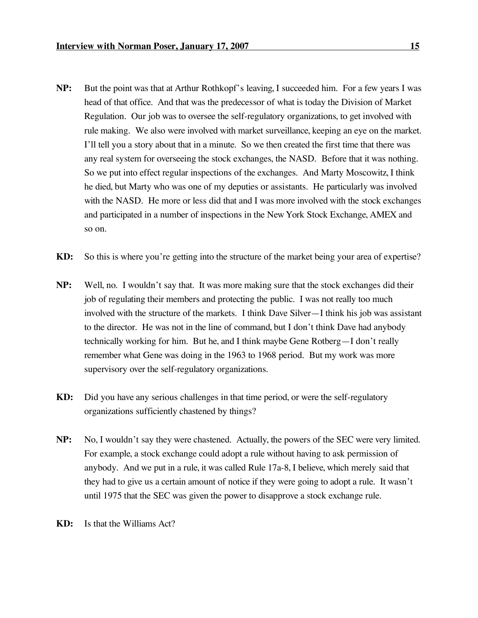- **NP:** But the point was that at Arthur Rothkopf's leaving, I succeeded him. For a few years I was head of that office. And that was the predecessor of what is today the Division of Market Regulation. Our job was to oversee the self-regulatory organizations, to get involved with rule making. We also were involved with market surveillance, keeping an eye on the market. I'll tell you a story about that in a minute. So we then created the first time that there was any real system for overseeing the stock exchanges, the NASD. Before that it was nothing. So we put into effect regular inspections of the exchanges. And Marty Moscowitz, I think he died, but Marty who was one of my deputies or assistants. He particularly was involved with the NASD. He more or less did that and I was more involved with the stock exchanges and participated in a number of inspections in the New York Stock Exchange, AMEX and so on.
- **KD:** So this is where you're getting into the structure of the market being your area of expertise?
- **NP:** Well, no. I wouldn't say that. It was more making sure that the stock exchanges did their job of regulating their members and protecting the public. I was not really too much involved with the structure of the markets. I think Dave Silver—I think his job was assistant to the director. He was not in the line of command, but I don't think Dave had anybody technically working for him. But he, and I think maybe Gene Rotberg—I don't really remember what Gene was doing in the 1963 to 1968 period. But my work was more supervisory over the self-regulatory organizations.
- **KD:** Did you have any serious challenges in that time period, or were the self-regulatory organizations sufficiently chastened by things?
- **NP:** No, I wouldn't say they were chastened. Actually, the powers of the SEC were very limited. For example, a stock exchange could adopt a rule without having to ask permission of anybody. And we put in a rule, it was called Rule 17a-8, I believe, which merely said that they had to give us a certain amount of notice if they were going to adopt a rule. It wasn't until 1975 that the SEC was given the power to disapprove a stock exchange rule.
- **KD:** Is that the Williams Act?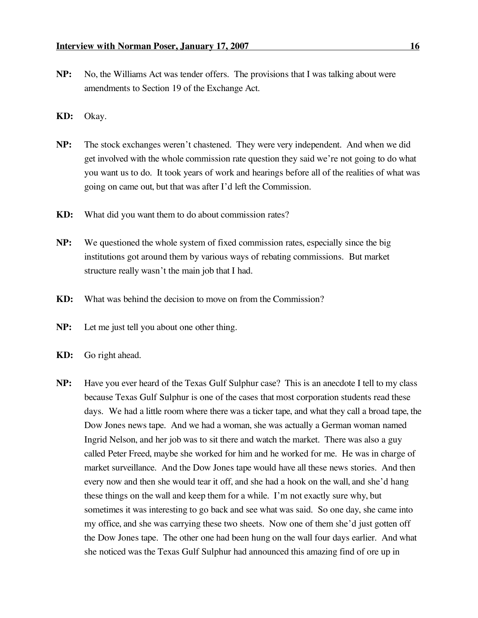- 
- **NP:** No, the Williams Act was tender offers. The provisions that I was talking about were amendments to Section 19 of the Exchange Act.
- **KD:** Okay.
- **NP:** The stock exchanges weren't chastened. They were very independent. And when we did get involved with the whole commission rate question they said we're not going to do what you want us to do. It took years of work and hearings before all of the realities of what was going on came out, but that was after I'd left the Commission.
- **KD:** What did you want them to do about commission rates?
- **NP:** We questioned the whole system of fixed commission rates, especially since the big institutions got around them by various ways of rebating commissions. But market structure really wasn't the main job that I had.
- **KD:** What was behind the decision to move on from the Commission?
- **NP:** Let me just tell you about one other thing.
- **KD:** Go right ahead.
- **NP:** Have you ever heard of the Texas Gulf Sulphur case? This is an anecdote I tell to my class because Texas Gulf Sulphur is one of the cases that most corporation students read these days. We had a little room where there was a ticker tape, and what they call a broad tape, the Dow Jones news tape. And we had a woman, she was actually a German woman named Ingrid Nelson, and her job was to sit there and watch the market. There was also a guy called Peter Freed, maybe she worked for him and he worked for me. He was in charge of market surveillance. And the Dow Jones tape would have all these news stories. And then every now and then she would tear it off, and she had a hook on the wall, and she'd hang these things on the wall and keep them for a while. I'm not exactly sure why, but sometimes it was interesting to go back and see what was said. So one day, she came into my office, and she was carrying these two sheets. Now one of them she'd just gotten off the Dow Jones tape. The other one had been hung on the wall four days earlier. And what she noticed was the Texas Gulf Sulphur had announced this amazing find of ore up in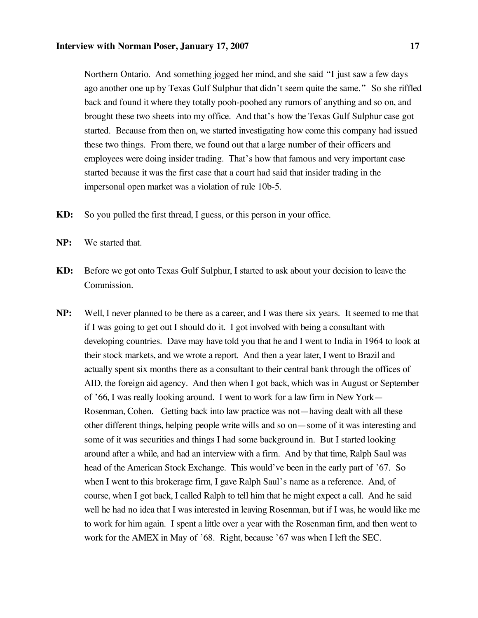Northern Ontario. And something jogged her mind, and she said "I just saw a few days ago another one up by Texas Gulf Sulphur that didn't seem quite the same." So she riffled back and found it where they totally pooh-poohed any rumors of anything and so on, and brought these two sheets into my office. And that's how the Texas Gulf Sulphur case got started. Because from then on, we started investigating how come this company had issued these two things. From there, we found out that a large number of their officers and employees were doing insider trading. That's how that famous and very important case started because it was the first case that a court had said that insider trading in the impersonal open market was a violation of rule 10b-5.

- **KD:** So you pulled the first thread, I guess, or this person in your office.
- **NP:** We started that.
- **KD:** Before we got onto Texas Gulf Sulphur, I started to ask about your decision to leave the Commission.
- **NP:** Well, I never planned to be there as a career, and I was there six years. It seemed to me that if I was going to get out I should do it. I got involved with being a consultant with developing countries. Dave may have told you that he and I went to India in 1964 to look at their stock markets, and we wrote a report. And then a year later, I went to Brazil and actually spent six months there as a consultant to their central bank through the offices of AID, the foreign aid agency. And then when I got back, which was in August or September of '66, I was really looking around. I went to work for a law firm in New York— Rosenman, Cohen. Getting back into law practice was not—having dealt with all these other different things, helping people write wills and so on—some of it was interesting and some of it was securities and things I had some background in. But I started looking around after a while, and had an interview with a firm. And by that time, Ralph Saul was head of the American Stock Exchange. This would've been in the early part of '67. So when I went to this brokerage firm, I gave Ralph Saul's name as a reference. And, of course, when I got back, I called Ralph to tell him that he might expect a call. And he said well he had no idea that I was interested in leaving Rosenman, but if I was, he would like me to work for him again. I spent a little over a year with the Rosenman firm, and then went to work for the AMEX in May of '68. Right, because '67 was when I left the SEC.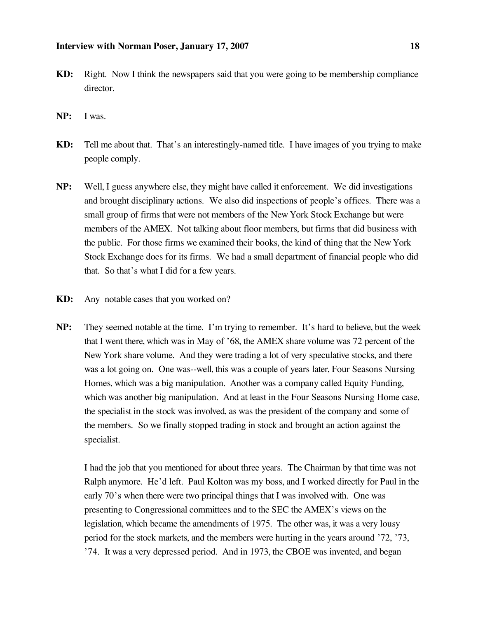- **KD:** Right. Now I think the newspapers said that you were going to be membership compliance director.
- **NP:** I was.
- **KD:** Tell me about that. That's an interestingly-named title. I have images of you trying to make people comply.
- **NP:** Well, I guess anywhere else, they might have called it enforcement. We did investigations and brought disciplinary actions. We also did inspections of people's offices. There was a small group of firms that were not members of the New York Stock Exchange but were members of the AMEX. Not talking about floor members, but firms that did business with the public. For those firms we examined their books, the kind of thing that the New York Stock Exchange does for its firms. We had a small department of financial people who did that. So that's what I did for a few years.
- **KD:** Any notable cases that you worked on?
- **NP:** They seemed notable at the time. I'm trying to remember. It's hard to believe, but the week that I went there, which was in May of '68, the AMEX share volume was 72 percent of the New York share volume. And they were trading a lot of very speculative stocks, and there was a lot going on. One was--well, this was a couple of years later, Four Seasons Nursing Homes, which was a big manipulation. Another was a company called Equity Funding, which was another big manipulation. And at least in the Four Seasons Nursing Home case, the specialist in the stock was involved, as was the president of the company and some of the members. So we finally stopped trading in stock and brought an action against the specialist.

I had the job that you mentioned for about three years. The Chairman by that time was not Ralph anymore. He'd left. Paul Kolton was my boss, and I worked directly for Paul in the early 70's when there were two principal things that I was involved with. One was presenting to Congressional committees and to the SEC the AMEX's views on the legislation, which became the amendments of 1975. The other was, it was a very lousy period for the stock markets, and the members were hurting in the years around '72, '73, '74. It was a very depressed period. And in 1973, the CBOE was invented, and began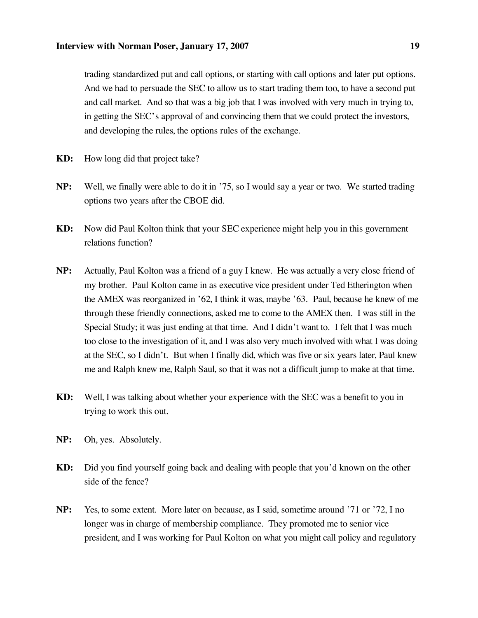trading standardized put and call options, or starting with call options and later put options. And we had to persuade the SEC to allow us to start trading them too, to have a second put and call market. And so that was a big job that I was involved with very much in trying to, in getting the SEC's approval of and convincing them that we could protect the investors, and developing the rules, the options rules of the exchange.

- **KD:** How long did that project take?
- **NP:** Well, we finally were able to do it in '75, so I would say a year or two. We started trading options two years after the CBOE did.
- **KD:** Now did Paul Kolton think that your SEC experience might help you in this government relations function?
- **NP:** Actually, Paul Kolton was a friend of a guy I knew. He was actually a very close friend of my brother. Paul Kolton came in as executive vice president under Ted Etherington when the AMEX was reorganized in '62, I think it was, maybe '63. Paul, because he knew of me through these friendly connections, asked me to come to the AMEX then. I was still in the Special Study; it was just ending at that time. And I didn't want to. I felt that I was much too close to the investigation of it, and I was also very much involved with what I was doing at the SEC, so I didn't. But when I finally did, which was five or six years later, Paul knew me and Ralph knew me, Ralph Saul, so that it was not a difficult jump to make at that time.
- **KD:** Well, I was talking about whether your experience with the SEC was a benefit to you in trying to work this out.
- **NP:** Oh, yes. Absolutely.
- **KD:** Did you find yourself going back and dealing with people that you'd known on the other side of the fence?
- **NP:** Yes, to some extent. More later on because, as I said, sometime around '71 or '72, I no longer was in charge of membership compliance. They promoted me to senior vice president, and I was working for Paul Kolton on what you might call policy and regulatory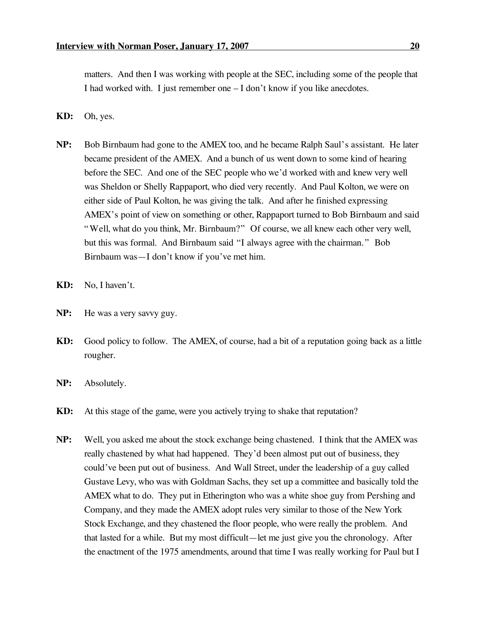matters. And then I was working with people at the SEC, including some of the people that I had worked with. I just remember one – I don't know if you like anecdotes.

- **KD:** Oh, yes.
- **NP:** Bob Birnbaum had gone to the AMEX too, and he became Ralph Saul's assistant. He later became president of the AMEX. And a bunch of us went down to some kind of hearing before the SEC. And one of the SEC people who we'd worked with and knew very well was Sheldon or Shelly Rappaport, who died very recently. And Paul Kolton, we were on either side of Paul Kolton, he was giving the talk. And after he finished expressing AMEX's point of view on something or other, Rappaport turned to Bob Birnbaum and said "Well, what do you think, Mr. Birnbaum?" Of course, we all knew each other very well, but this was formal. And Birnbaum said "I always agree with the chairman." Bob Birnbaum was—I don't know if you've met him.
- **KD:** No, I haven't.
- **NP:** He was a very savvy guy.
- **KD:** Good policy to follow. The AMEX, of course, had a bit of a reputation going back as a little rougher.
- **NP:** Absolutely.
- **KD:** At this stage of the game, were you actively trying to shake that reputation?
- **NP:** Well, you asked me about the stock exchange being chastened. I think that the AMEX was really chastened by what had happened. They'd been almost put out of business, they could've been put out of business. And Wall Street, under the leadership of a guy called Gustave Levy, who was with Goldman Sachs, they set up a committee and basically told the AMEX what to do. They put in Etherington who was a white shoe guy from Pershing and Company, and they made the AMEX adopt rules very similar to those of the New York Stock Exchange, and they chastened the floor people, who were really the problem. And that lasted for a while. But my most difficult—let me just give you the chronology. After the enactment of the 1975 amendments, around that time I was really working for Paul but I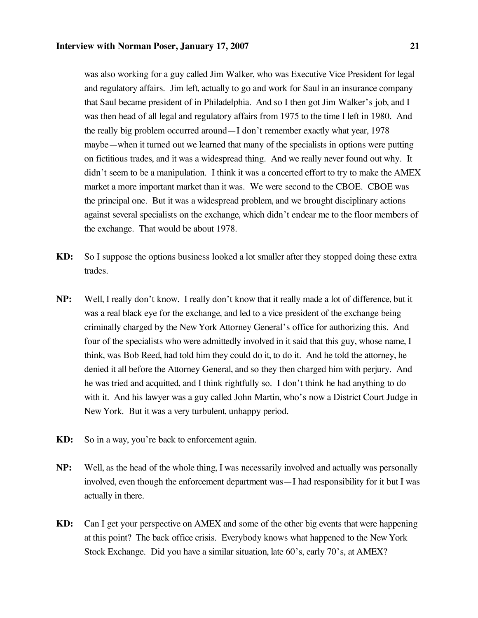was also working for a guy called Jim Walker, who was Executive Vice President for legal and regulatory affairs. Jim left, actually to go and work for Saul in an insurance company that Saul became president of in Philadelphia. And so I then got Jim Walker's job, and I was then head of all legal and regulatory affairs from 1975 to the time I left in 1980. And the really big problem occurred around—I don't remember exactly what year, 1978 maybe—when it turned out we learned that many of the specialists in options were putting on fictitious trades, and it was a widespread thing. And we really never found out why. It didn't seem to be a manipulation. I think it was a concerted effort to try to make the AMEX market a more important market than it was. We were second to the CBOE. CBOE was the principal one. But it was a widespread problem, and we brought disciplinary actions against several specialists on the exchange, which didn't endear me to the floor members of the exchange. That would be about 1978.

- **KD:** So I suppose the options business looked a lot smaller after they stopped doing these extra trades.
- **NP:** Well, I really don't know. I really don't know that it really made a lot of difference, but it was a real black eye for the exchange, and led to a vice president of the exchange being criminally charged by the New York Attorney General's office for authorizing this. And four of the specialists who were admittedly involved in it said that this guy, whose name, I think, was Bob Reed, had told him they could do it, to do it. And he told the attorney, he denied it all before the Attorney General, and so they then charged him with perjury. And he was tried and acquitted, and I think rightfully so. I don't think he had anything to do with it. And his lawyer was a guy called John Martin, who's now a District Court Judge in New York. But it was a very turbulent, unhappy period.
- **KD:** So in a way, you're back to enforcement again.
- **NP:** Well, as the head of the whole thing, I was necessarily involved and actually was personally involved, even though the enforcement department was—I had responsibility for it but I was actually in there.
- **KD:** Can I get your perspective on AMEX and some of the other big events that were happening at this point? The back office crisis. Everybody knows what happened to the New York Stock Exchange. Did you have a similar situation, late 60's, early 70's, at AMEX?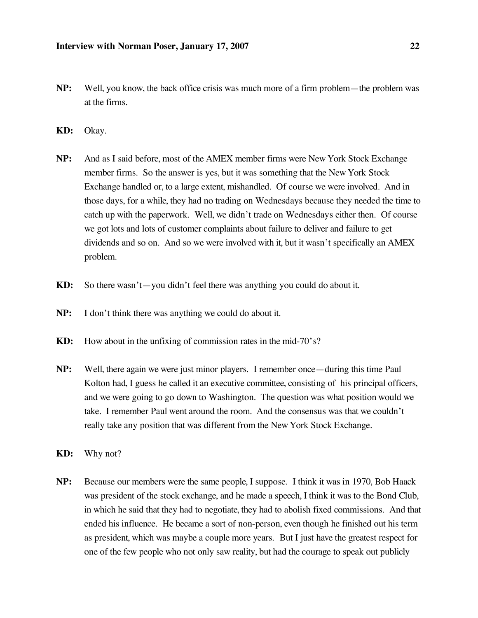- **NP:** Well, you know, the back office crisis was much more of a firm problem—the problem was at the firms.
- **KD:** Okay.
- **NP:** And as I said before, most of the AMEX member firms were New York Stock Exchange member firms. So the answer is yes, but it was something that the New York Stock Exchange handled or, to a large extent, mishandled. Of course we were involved. And in those days, for a while, they had no trading on Wednesdays because they needed the time to catch up with the paperwork. Well, we didn't trade on Wednesdays either then. Of course we got lots and lots of customer complaints about failure to deliver and failure to get dividends and so on. And so we were involved with it, but it wasn't specifically an AMEX problem.
- **KD:** So there wasn't—you didn't feel there was anything you could do about it.
- **NP:** I don't think there was anything we could do about it.
- **KD:** How about in the unfixing of commission rates in the mid-70's?
- **NP:** Well, there again we were just minor players. I remember once—during this time Paul Kolton had, I guess he called it an executive committee, consisting of his principal officers, and we were going to go down to Washington. The question was what position would we take. I remember Paul went around the room. And the consensus was that we couldn't really take any position that was different from the New York Stock Exchange.
- **KD:** Why not?
- **NP:** Because our members were the same people, I suppose. I think it was in 1970, Bob Haack was president of the stock exchange, and he made a speech, I think it was to the Bond Club, in which he said that they had to negotiate, they had to abolish fixed commissions. And that ended his influence. He became a sort of non-person, even though he finished out his term as president, which was maybe a couple more years. But I just have the greatest respect for one of the few people who not only saw reality, but had the courage to speak out publicly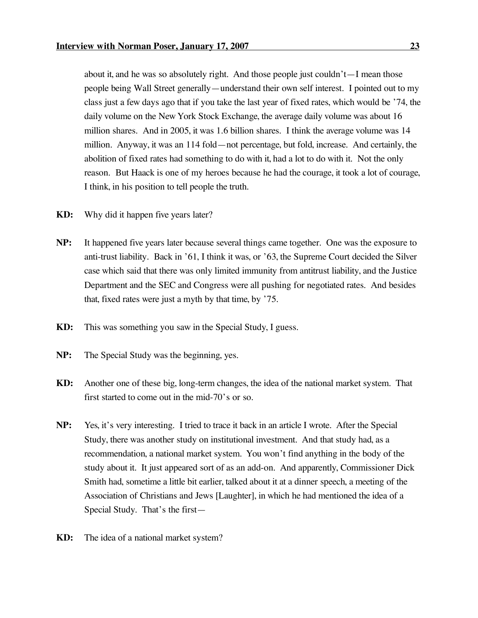about it, and he was so absolutely right. And those people just couldn't—I mean those people being Wall Street generally—understand their own self interest. I pointed out to my class just a few days ago that if you take the last year of fixed rates, which would be '74, the daily volume on the New York Stock Exchange, the average daily volume was about 16 million shares. And in 2005, it was 1.6 billion shares. I think the average volume was 14 million. Anyway, it was an 114 fold—not percentage, but fold, increase. And certainly, the abolition of fixed rates had something to do with it, had a lot to do with it. Not the only reason. But Haack is one of my heroes because he had the courage, it took a lot of courage, I think, in his position to tell people the truth.

- **KD:** Why did it happen five years later?
- **NP:** It happened five years later because several things came together. One was the exposure to anti-trust liability. Back in '61, I think it was, or '63, the Supreme Court decided the Silver case which said that there was only limited immunity from antitrust liability, and the Justice Department and the SEC and Congress were all pushing for negotiated rates. And besides that, fixed rates were just a myth by that time, by '75.
- **KD:** This was something you saw in the Special Study, I guess.
- **NP:** The Special Study was the beginning, yes.
- **KD:** Another one of these big, long-term changes, the idea of the national market system. That first started to come out in the mid-70's or so.
- **NP:** Yes, it's very interesting. I tried to trace it back in an article I wrote. After the Special Study, there was another study on institutional investment. And that study had, as a recommendation, a national market system. You won't find anything in the body of the study about it. It just appeared sort of as an add-on. And apparently, Commissioner Dick Smith had, sometime a little bit earlier, talked about it at a dinner speech, a meeting of the Association of Christians and Jews [Laughter], in which he had mentioned the idea of a Special Study. That's the first—
- **KD:** The idea of a national market system?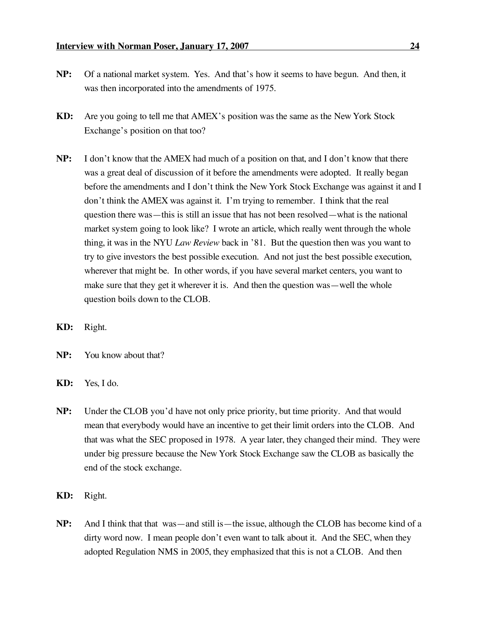- 
- **NP:** Of a national market system. Yes. And that's how it seems to have begun. And then, it was then incorporated into the amendments of 1975.
- **KD:** Are you going to tell me that AMEX's position was the same as the New York Stock Exchange's position on that too?
- **NP:** I don't know that the AMEX had much of a position on that, and I don't know that there was a great deal of discussion of it before the amendments were adopted. It really began before the amendments and I don't think the New York Stock Exchange was against it and I don't think the AMEX was against it. I'm trying to remember. I think that the real question there was—this is still an issue that has not been resolved—what is the national market system going to look like? I wrote an article, which really went through the whole thing, it was in the NYU *Law Review* back in '81. But the question then was you want to try to give investors the best possible execution. And not just the best possible execution, wherever that might be. In other words, if you have several market centers, you want to make sure that they get it wherever it is. And then the question was—well the whole question boils down to the CLOB.
- **KD:** Right.
- **NP:** You know about that?
- **KD:** Yes, I do.
- **NP:** Under the CLOB you'd have not only price priority, but time priority. And that would mean that everybody would have an incentive to get their limit orders into the CLOB. And that was what the SEC proposed in 1978. A year later, they changed their mind. They were under big pressure because the New York Stock Exchange saw the CLOB as basically the end of the stock exchange.
- **KD:** Right.
- **NP:** And I think that that was—and still is—the issue, although the CLOB has become kind of a dirty word now. I mean people don't even want to talk about it. And the SEC, when they adopted Regulation NMS in 2005, they emphasized that this is not a CLOB. And then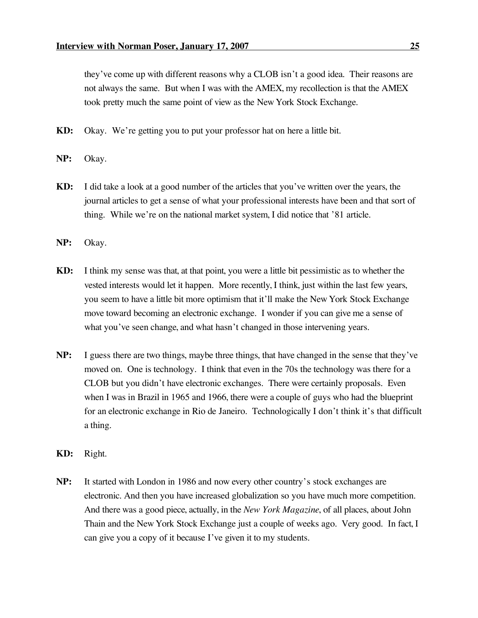they've come up with different reasons why a CLOB isn't a good idea. Their reasons are not always the same. But when I was with the AMEX, my recollection is that the AMEX took pretty much the same point of view as the New York Stock Exchange.

**KD:** Okay. We're getting you to put your professor hat on here a little bit.

- **NP:** Okay.
- **KD:** I did take a look at a good number of the articles that you've written over the years, the journal articles to get a sense of what your professional interests have been and that sort of thing. While we're on the national market system, I did notice that '81 article.
- **NP:** Okay.
- **KD:** I think my sense was that, at that point, you were a little bit pessimistic as to whether the vested interests would let it happen. More recently, I think, just within the last few years, you seem to have a little bit more optimism that it'll make the New York Stock Exchange move toward becoming an electronic exchange. I wonder if you can give me a sense of what you've seen change, and what hasn't changed in those intervening years.
- **NP:** I guess there are two things, maybe three things, that have changed in the sense that they've moved on. One is technology. I think that even in the 70s the technology was there for a CLOB but you didn't have electronic exchanges. There were certainly proposals. Even when I was in Brazil in 1965 and 1966, there were a couple of guys who had the blueprint for an electronic exchange in Rio de Janeiro. Technologically I don't think it's that difficult a thing.
- **KD:** Right.
- **NP:** It started with London in 1986 and now every other country's stock exchanges are electronic. And then you have increased globalization so you have much more competition. And there was a good piece, actually, in the *New York Magazine*, of all places, about John Thain and the New York Stock Exchange just a couple of weeks ago. Very good. In fact, I can give you a copy of it because I've given it to my students.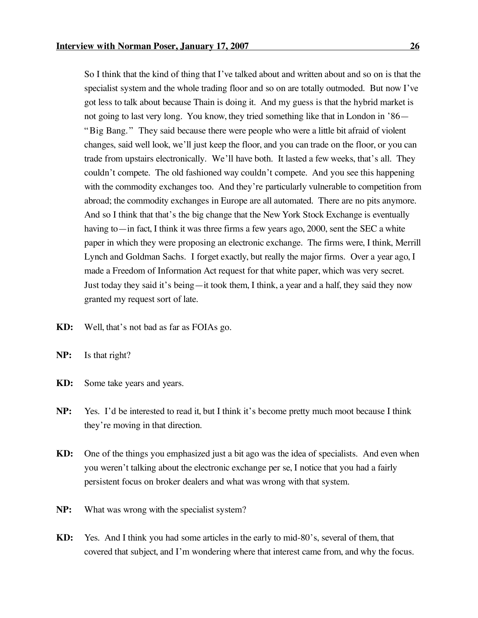So I think that the kind of thing that I've talked about and written about and so on is that the specialist system and the whole trading floor and so on are totally outmoded. But now I've got less to talk about because Thain is doing it. And my guess is that the hybrid market is not going to last very long. You know, they tried something like that in London in '86— "Big Bang." They said because there were people who were a little bit afraid of violent changes, said well look, we'll just keep the floor, and you can trade on the floor, or you can trade from upstairs electronically. We'll have both. It lasted a few weeks, that's all. They couldn't compete. The old fashioned way couldn't compete. And you see this happening with the commodity exchanges too. And they're particularly vulnerable to competition from abroad; the commodity exchanges in Europe are all automated. There are no pits anymore. And so I think that that's the big change that the New York Stock Exchange is eventually having to—in fact, I think it was three firms a few years ago, 2000, sent the SEC a white paper in which they were proposing an electronic exchange. The firms were, I think, Merrill Lynch and Goldman Sachs. I forget exactly, but really the major firms. Over a year ago, I made a Freedom of Information Act request for that white paper, which was very secret. Just today they said it's being—it took them, I think, a year and a half, they said they now granted my request sort of late.

- **KD:** Well, that's not bad as far as FOIAs go.
- **NP:** Is that right?
- **KD:** Some take years and years.
- **NP:** Yes. I'd be interested to read it, but I think it's become pretty much moot because I think they're moving in that direction.
- **KD:** One of the things you emphasized just a bit ago was the idea of specialists. And even when you weren't talking about the electronic exchange per se, I notice that you had a fairly persistent focus on broker dealers and what was wrong with that system.
- **NP:** What was wrong with the specialist system?
- **KD:** Yes. And I think you had some articles in the early to mid-80's, several of them, that covered that subject, and I'm wondering where that interest came from, and why the focus.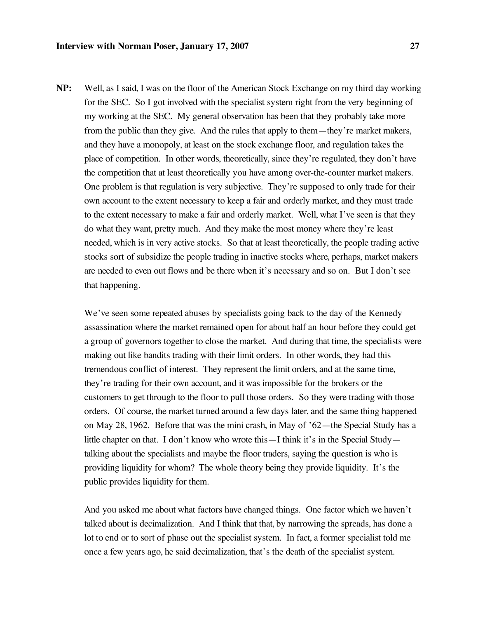**NP:** Well, as I said, I was on the floor of the American Stock Exchange on my third day working for the SEC. So I got involved with the specialist system right from the very beginning of my working at the SEC. My general observation has been that they probably take more from the public than they give. And the rules that apply to them—they're market makers, and they have a monopoly, at least on the stock exchange floor, and regulation takes the place of competition. In other words, theoretically, since they're regulated, they don't have the competition that at least theoretically you have among over-the-counter market makers. One problem is that regulation is very subjective. They're supposed to only trade for their own account to the extent necessary to keep a fair and orderly market, and they must trade to the extent necessary to make a fair and orderly market. Well, what I've seen is that they do what they want, pretty much. And they make the most money where they're least needed, which is in very active stocks. So that at least theoretically, the people trading active stocks sort of subsidize the people trading in inactive stocks where, perhaps, market makers are needed to even out flows and be there when it's necessary and so on. But I don't see that happening.

We've seen some repeated abuses by specialists going back to the day of the Kennedy assassination where the market remained open for about half an hour before they could get a group of governors together to close the market. And during that time, the specialists were making out like bandits trading with their limit orders. In other words, they had this tremendous conflict of interest. They represent the limit orders, and at the same time, they're trading for their own account, and it was impossible for the brokers or the customers to get through to the floor to pull those orders. So they were trading with those orders. Of course, the market turned around a few days later, and the same thing happened on May 28, 1962. Before that was the mini crash, in May of '62—the Special Study has a little chapter on that. I don't know who wrote this—I think it's in the Special Study talking about the specialists and maybe the floor traders, saying the question is who is providing liquidity for whom? The whole theory being they provide liquidity. It's the public provides liquidity for them.

And you asked me about what factors have changed things. One factor which we haven't talked about is decimalization. And I think that that, by narrowing the spreads, has done a lot to end or to sort of phase out the specialist system. In fact, a former specialist told me once a few years ago, he said decimalization, that's the death of the specialist system.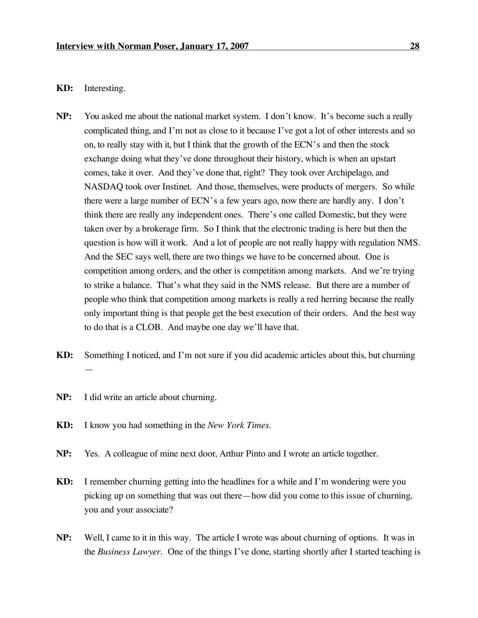## **KD:** Interesting.

- **NP:** You asked me about the national market system. I don't know. It's become such a really complicated thing, and I'm not as close to it because I've got a lot of other interests and so on, to really stay with it, but I think that the growth of the ECN's and then the stock exchange doing what they've done throughout their history, which is when an upstart comes, take it over. And they've done that, right? They took over Archipelago, and NASDAQ took over Instinet. And those, themselves, were products of mergers. So while there were a large number of ECN's a few years ago, now there are hardly any. I don't think there are really any independent ones. There's one called Domestic, but they were taken over by a brokerage firm. So I think that the electronic trading is here but then the question is how will it work. And a lot of people are not really happy with regulation NMS. And the SEC says well, there are two things we have to be concerned about. One is competition among orders, and the other is competition among markets. And we're trying to strike a balance. That's what they said in the NMS release. But there are a number of people who think that competition among markets is really a red herring because the really only important thing is that people get the best execution of their orders. And the best way to do that is a CLOB. And maybe one day we'll have that.
- **KD:** Something I noticed, and I'm not sure if you did academic articles about this, but churning —
- **NP:** I did write an article about churning.
- **KD:** I know you had something in the *New York Times*.
- **NP:** Yes. A colleague of mine next door, Arthur Pinto and I wrote an article together.
- **KD:** I remember churning getting into the headlines for a while and I'm wondering were you picking up on something that was out there—how did you come to this issue of churning, you and your associate?
- **NP:** Well, I came to it in this way. The article I wrote was about churning of options. It was in the *Business Lawyer*. One of the things I've done,starting shortly after I started teaching is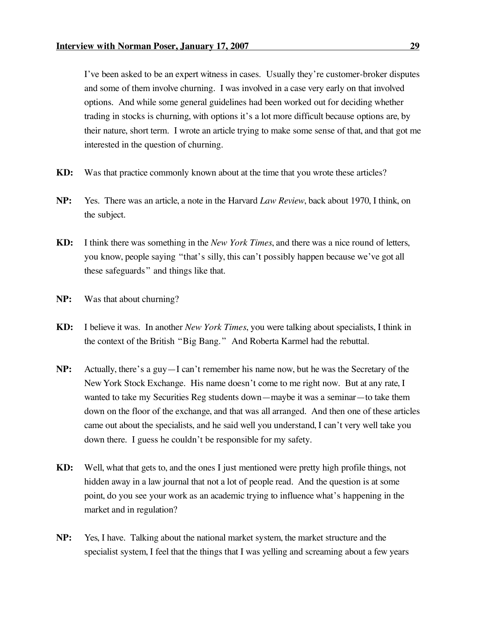I've been asked to be an expert witness in cases. Usually they're customer-broker disputes and some of them involve churning. I was involved in a case very early on that involved options. And while some general guidelines had been worked out for deciding whether trading in stocks is churning, with options it's a lot more difficult because options are, by their nature, short term. I wrote an article trying to make some sense of that, and that got me interested in the question of churning.

- **KD:** Was that practice commonly known about at the time that you wrote these articles?
- **NP:** Yes. There was an article, a note in the Harvard *Law Review*, back about 1970, I think, on the subject.
- **KD:** I think there was something in the *New York Times*, and there was a nice round of letters, you know, people saying "that's silly, this can't possibly happen because we've got all these safeguards " and things like that.
- **NP:** Was that about churning?
- **KD:** I believe it was. In another *New York Times*, you were talking about specialists, I think in the context of the British "Big Bang." And Roberta Karmel had the rebuttal.
- **NP:** Actually, there's a guy—I can't remember his name now, but he was the Secretary of the New York Stock Exchange. His name doesn't come to me right now. But at any rate, I wanted to take my Securities Reg students down—maybe it was a seminar—to take them down on the floor of the exchange, and that was all arranged. And then one of these articles came out about the specialists, and he said well you understand, I can't very well take you down there. I guess he couldn't be responsible for my safety.
- **KD:** Well, what that gets to, and the ones I just mentioned were pretty high profile things, not hidden away in a law journal that not a lot of people read. And the question is at some point, do you see your work as an academic trying to influence what's happening in the market and in regulation?
- **NP:** Yes, I have. Talking about the national market system, the market structure and the specialist system, I feel that the things that I was yelling and screaming about a few years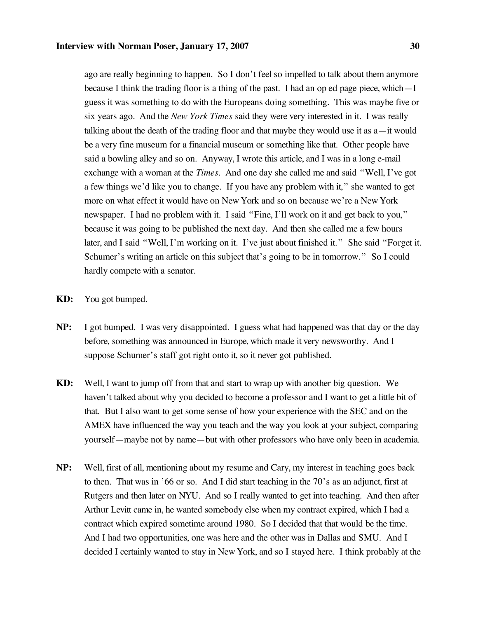ago are really beginning to happen. So I don't feel so impelled to talk about them anymore because I think the trading floor is a thing of the past. I had an op ed page piece, which—I guess it was something to do with the Europeans doing something. This was maybe five or six years ago. And the *New York Times* said they were very interested in it. I was really talking about the death of the trading floor and that maybe they would use it as a—it would be a very fine museum for a financial museum or something like that. Other people have said a bowling alley and so on. Anyway, I wrote this article, and I was in a long e-mail exchange with a woman at the *Times*. And one day she called me and said "Well, I've got a few things we'd like you to change. If you have any problem with it," she wanted to get more on what effect it would have on New York and so on because we're a New York newspaper. I had no problem with it. I said "Fine, I'll work on it and get back to you," because it was going to be published the next day. And then she called me a few hours later, and I said "Well, I'm working on it. I've just about finished it." She said "Forget it. Schumer's writing an article on this subject that's going to be in tomorrow." So I could hardly compete with a senator.

- **KD:** You got bumped.
- **NP:** I got bumped. I was very disappointed. I guess what had happened was that day or the day before, something was announced in Europe, which made it very newsworthy. And I suppose Schumer's staff got right onto it, so it never got published.
- **KD:** Well, I want to jump off from that and start to wrap up with another big question. We haven't talked about why you decided to become a professor and I want to get a little bit of that. But I also want to get some sense of how your experience with the SEC and on the AMEX have influenced the way you teach and the way you look at your subject, comparing yourself—maybe not by name—but with other professors who have only been in academia.
- **NP:** Well, first of all, mentioning about my resume and Cary, my interest in teaching goes back to then. That was in '66 or so. And I did start teaching in the 70's as an adjunct, first at Rutgers and then later on NYU. And so I really wanted to get into teaching. And then after Arthur Levitt came in, he wanted somebody else when my contract expired, which I had a contract which expired sometime around 1980. So I decided that that would be the time. And I had two opportunities, one was here and the other was in Dallas and SMU. And I decided I certainly wanted to stay in New York, and so I stayed here. I think probably at the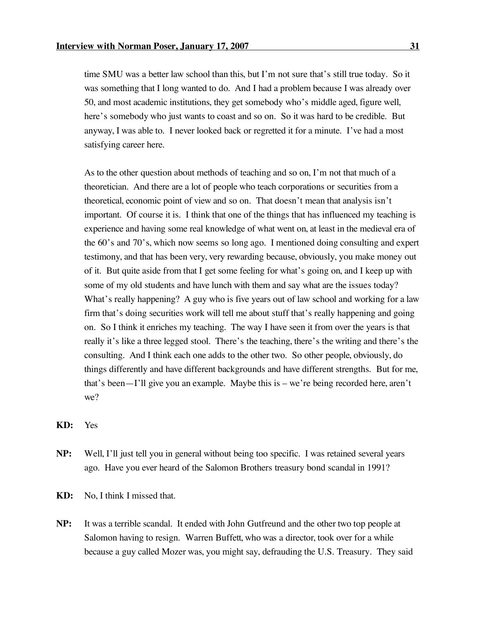time SMU was a better law school than this, but I'm not sure that's still true today. So it was something that I long wanted to do. And I had a problem because I was already over 50, and most academic institutions, they get somebody who's middle aged, figure well, here's somebody who just wants to coast and so on. So it was hard to be credible. But anyway, I was able to. I never looked back or regretted it for a minute. I've had a most satisfying career here.

As to the other question about methods of teaching and so on, I'm not that much of a theoretician. And there are a lot of people who teach corporations or securities from a theoretical, economic point of view and so on. That doesn't mean that analysis isn't important. Of course it is. I think that one of the things that has influenced my teaching is experience and having some real knowledge of what went on, at least in the medieval era of the 60's and 70's, which now seems so long ago. I mentioned doing consulting and expert testimony, and that has been very, very rewarding because, obviously, you make money out of it. But quite aside from that I get some feeling for what's going on, and I keep up with some of my old students and have lunch with them and say what are the issues today? What's really happening? A guy who is five years out of law school and working for a law firm that's doing securities work will tell me about stuff that's really happening and going on. So I think it enriches my teaching. The way I have seen it from over the years is that really it's like a three legged stool. There's the teaching, there's the writing and there's the consulting. And I think each one adds to the other two. So other people, obviously, do things differently and have different backgrounds and have different strengths. But for me, that's been—I'll give you an example. Maybe this is – we're being recorded here, aren't we?

**KD:** Yes

- **NP:** Well, I'll just tell you in general without being too specific. I was retained several years ago. Have you ever heard of the Salomon Brothers treasury bond scandal in 1991?
- **KD:** No, I think I missed that.
- **NP:** It was a terrible scandal. It ended with John Gutfreund and the other two top people at Salomon having to resign. Warren Buffett, who was a director, took over for a while because a guy called Mozer was, you might say, defrauding the U.S. Treasury. They said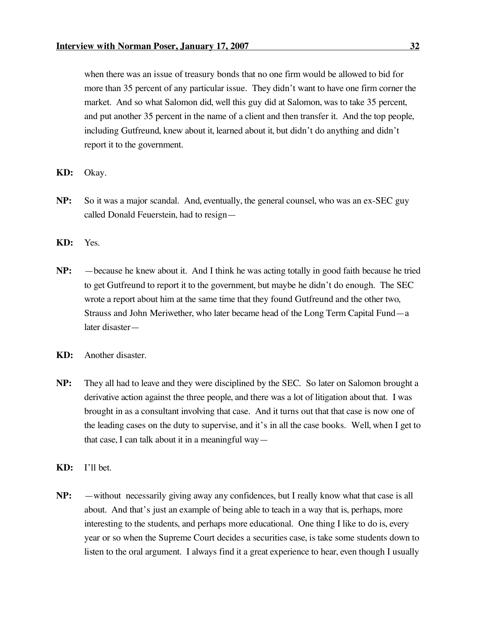when there was an issue of treasury bonds that no one firm would be allowed to bid for more than 35 percent of any particular issue. They didn't want to have one firm corner the market. And so what Salomon did, well this guy did at Salomon, was to take 35 percent, and put another 35 percent in the name of a client and then transfer it. And the top people, including Gutfreund, knew about it, learned about it, but didn't do anything and didn't report it to the government.

- **KD:** Okay.
- **NP:** So it was a major scandal. And, eventually, the general counsel, who was an ex-SEC guy called Donald Feuerstein, had to resign—
- **KD:** Yes.
- **NP:** —because he knew about it. And I think he was acting totally in good faith because he tried to get Gutfreund to report it to the government, but maybe he didn't do enough. The SEC wrote a report about him at the same time that they found Gutfreund and the other two, Strauss and John Meriwether, who later became head of the Long Term Capital Fund—a later disaster—
- **KD:** Another disaster.
- **NP:** They all had to leave and they were disciplined by the SEC. So later on Salomon brought a derivative action against the three people, and there was a lot of litigation about that. I was brought in as a consultant involving that case. And it turns out that that case is now one of the leading cases on the duty to supervise, and it's in all the case books. Well, when I get to that case, I can talk about it in a meaningful way—
- **KD:** I'll bet.
- **NP:** —without necessarily giving away any confidences, but I really know what that case is all about. And that's just an example of being able to teach in a way that is, perhaps, more interesting to the students, and perhaps more educational. One thing I like to do is, every year or so when the Supreme Court decides a securities case, is take some students down to listen to the oral argument. I always find it a great experience to hear, even though I usually